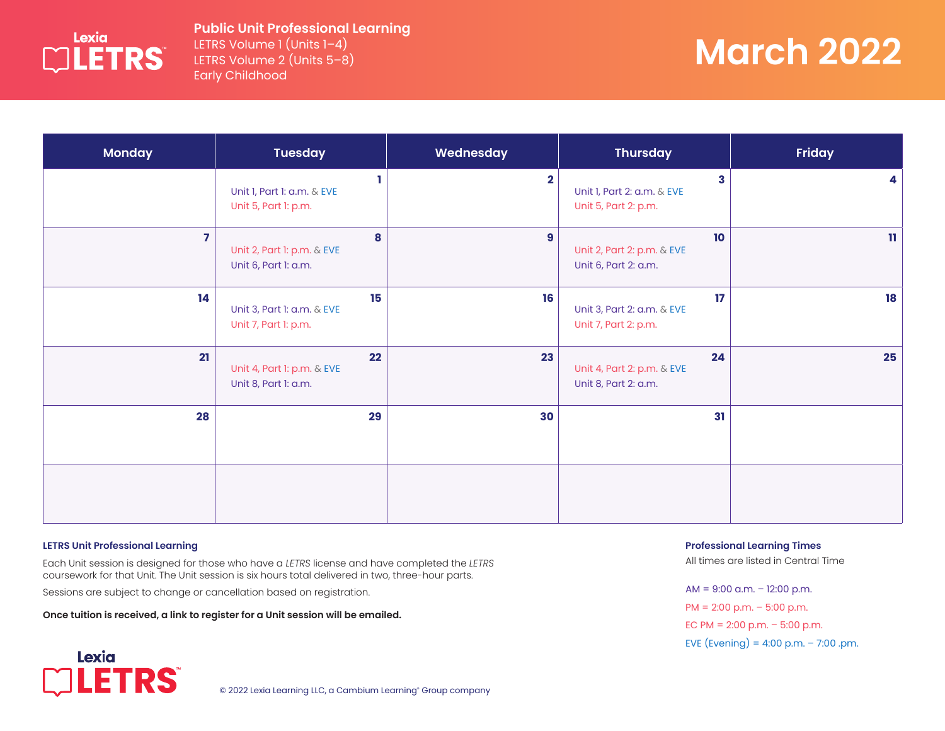

### **Public Unit Professional Learning** LETRS Volume 1 (Units 1–4)

LETRS Volume 2 (Units 5–8) Early Childhood

# **March 2022**

| <b>Monday</b>  | <b>Tuesday</b>                                           | Wednesday    | <b>Thursday</b>                                          | <b>Friday</b> |
|----------------|----------------------------------------------------------|--------------|----------------------------------------------------------|---------------|
|                | Unit I, Part I: a.m. & EVE<br>Unit 5, Part 1: p.m.       | $\mathbf{2}$ | 3<br>Unit I, Part 2: a.m. & EVE<br>Unit 5, Part 2: p.m.  | 4             |
| $\overline{7}$ | 8<br>Unit 2, Part 1: p.m. & EVE<br>Unit 6, Part 1: a.m.  | 9            | 10<br>Unit 2, Part 2: p.m. & EVE<br>Unit 6, Part 2: a.m. | $\mathbf{H}$  |
| 14             | 15<br>Unit 3, Part 1: a.m. & EVE<br>Unit 7, Part 1: p.m. | 16           | 17<br>Unit 3, Part 2: a.m. & EVE<br>Unit 7, Part 2: p.m. | 18            |
| 21             | 22<br>Unit 4, Part 1: p.m. & EVE<br>Unit 8, Part 1: a.m. | 23           | 24<br>Unit 4, Part 2: p.m. & EVE<br>Unit 8, Part 2: a.m. | 25            |
| 28             | 29                                                       | 30           | 31                                                       |               |
|                |                                                          |              |                                                          |               |

#### **LETRS Unit Professional Learning**

**LETRS** 

Lexia

Each Unit session is designed for those who have a *LETRS* license and have completed the *LETRS* coursework for that Unit. The Unit session is six hours total delivered in two, three-hour parts.

Sessions are subject to change or cancellation based on registration.

**Once tuition is received, a link to register for a Unit session will be emailed.**



All times are listed in Central Time

AM = 9:00 a.m. – 12:00 p.m. PM = 2:00 p.m. – 5:00 p.m. EC PM =  $2:00$  p.m. -  $5:00$  p.m. EVE (Evening) =  $4:00$  p.m. - 7:00 .pm.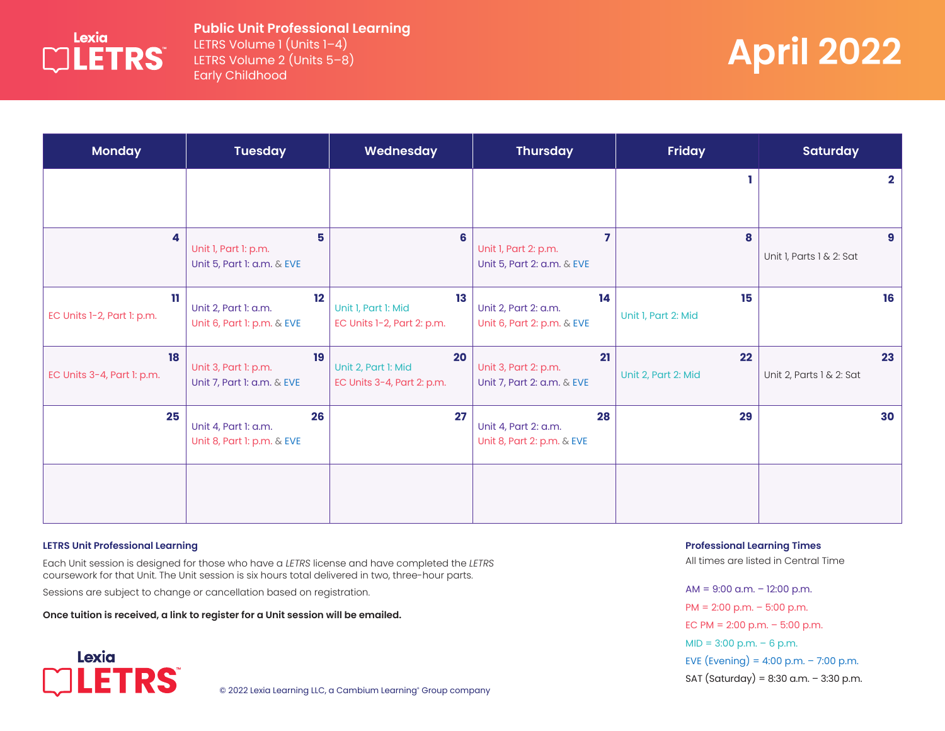

## **Public Unit Professional Learning** LETRS Volume 1 (Units 1–4)

LETRS Volume 2 (Units 5–8) Early Childhood

# **April 2022**

| <b>Monday</b>                     | <b>Tuesday</b>                                           | Wednesday                                               | <b>Thursday</b>                                          | <b>Friday</b>             | <b>Saturday</b>                |
|-----------------------------------|----------------------------------------------------------|---------------------------------------------------------|----------------------------------------------------------|---------------------------|--------------------------------|
|                                   |                                                          |                                                         |                                                          |                           | $\overline{2}$                 |
| 4                                 | 5<br>Unit I, Part I: p.m.<br>Unit 5, Part 1: a.m. & EVE  | $6\phantom{a}$                                          | Unit I, Part 2: p.m.<br>Unit 5, Part 2: a.m. & EVE       | 8                         | 9<br>Unit 1, Parts 1 & 2: Sat  |
| 11.<br>EC Units 1-2, Part 1: p.m. | 12<br>Unit 2, Part 1: a.m.<br>Unit 6, Part 1: p.m. & EVE | 13<br>Unit I, Part I: Mid<br>EC Units 1-2, Part 2: p.m. | 14<br>Unit 2, Part 2: a.m.<br>Unit 6, Part 2: p.m. & EVE | 15<br>Unit I, Part 2: Mid | 16                             |
| 18<br>EC Units 3-4, Part 1: p.m.  | 19<br>Unit 3, Part 1: p.m.<br>Unit 7, Part 1: a.m. & EVE | 20<br>Unit 2, Part I: Mid<br>EC Units 3-4, Part 2: p.m. | 21<br>Unit 3, Part 2: p.m.<br>Unit 7, Part 2: a.m. & EVE | 22<br>Unit 2, Part 2: Mid | 23<br>Unit 2, Parts 1 & 2: Sat |
| 25                                | 26<br>Unit 4, Part 1: a.m.<br>Unit 8, Part 1: p.m. & EVE | 27                                                      | 28<br>Unit 4, Part 2: a.m.<br>Unit 8, Part 2: p.m. & EVE | 29                        | 30                             |
|                                   |                                                          |                                                         |                                                          |                           |                                |

#### **LETRS Unit Professional Learning**

Each Unit session is designed for those who have a *LETRS* license and have completed the *LETRS* coursework for that Unit. The Unit session is six hours total delivered in two, three-hour parts.

Sessions are subject to change or cancellation based on registration.

**Once tuition is received, a link to register for a Unit session will be emailed.**



© 2022 Lexia Learning LLC, a Cambium Learning° Group company

**Professional Learning Times** 

All times are listed in Central Time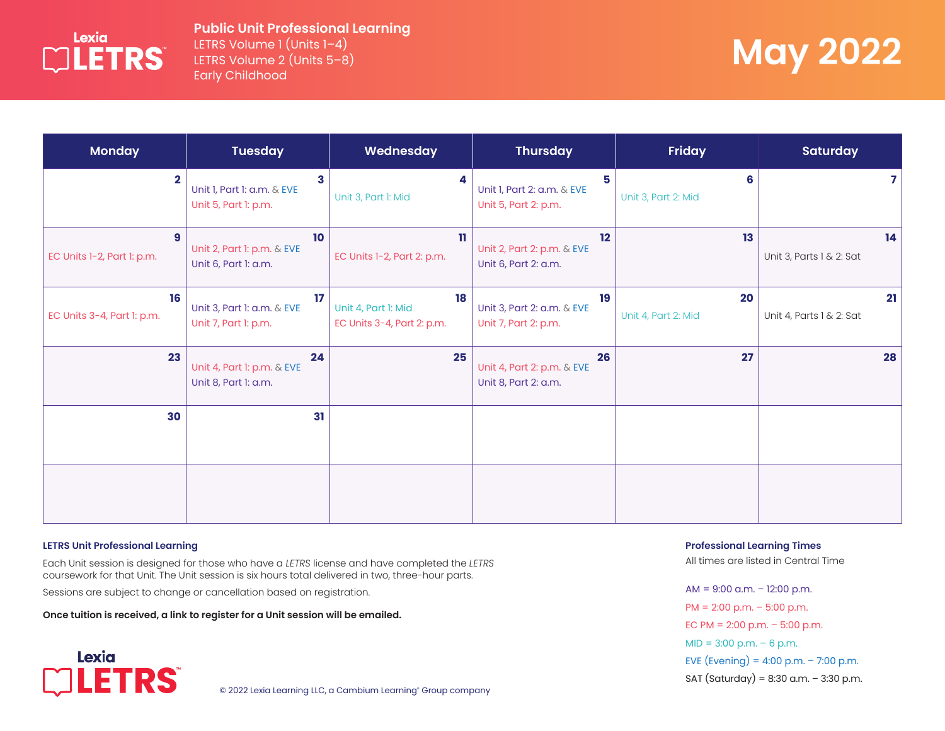

### **Public Unit Professional Learning** LETRS Volume 1 (Units 1-4) LETRS Volume 2 (Units 5–8) Early Childhood

# **May 2022**

| <b>Monday</b>                    | <b>Tuesday</b>                                           | Wednesday                                               | <b>Thursday</b>                                          | <b>Friday</b>             | <b>Saturday</b>                |
|----------------------------------|----------------------------------------------------------|---------------------------------------------------------|----------------------------------------------------------|---------------------------|--------------------------------|
| $\mathbf{2}$                     | 3<br>Unit I, Part I: a.m. & EVE<br>Unit 5, Part 1: p.m.  | 4<br>Unit 3, Part 1: Mid                                | 5.<br>Unit 1, Part 2: a.m. & EVE<br>Unit 5, Part 2: p.m. | 6<br>Unit 3, Part 2: Mid  | 7                              |
| 9<br>EC Units 1-2, Part 1: p.m.  | 10<br>Unit 2, Part 1: p.m. & EVE<br>Unit 6, Part 1: a.m. | n<br>EC Units 1-2, Part 2: p.m.                         | 12<br>Unit 2, Part 2: p.m. & EVE<br>Unit 6, Part 2: a.m. | 13 <sup>°</sup>           | 14<br>Unit 3, Parts 1 & 2: Sat |
| 16<br>EC Units 3-4, Part 1: p.m. | 17<br>Unit 3, Part 1: a.m. & EVE<br>Unit 7, Part 1: p.m. | 18<br>Unit 4, Part I: Mid<br>EC Units 3-4, Part 2: p.m. | 19<br>Unit 3, Part 2: a.m. & EVE<br>Unit 7, Part 2: p.m. | 20<br>Unit 4, Part 2: Mid | 21<br>Unit 4, Parts 1 & 2: Sat |
| 23                               | 24<br>Unit 4, Part 1: p.m. & EVE<br>Unit 8, Part 1: a.m. | 25                                                      | 26<br>Unit 4, Part 2: p.m. & EVE<br>Unit 8, Part 2: a.m. | 27                        | 28                             |
| 30                               | 31                                                       |                                                         |                                                          |                           |                                |
|                                  |                                                          |                                                         |                                                          |                           |                                |

#### **LETRS Unit Professional Learning**

Each Unit session is designed for those who have a *LETRS* license and have completed the *LETRS* coursework for that Unit. The Unit session is six hours total delivered in two, three-hour parts.

Sessions are subject to change or cancellation based on registration.

**Once tuition is received, a link to register for a Unit session will be emailed.**

Lexia **LETRS** 

© 2022 Lexia Learning LLC, a Cambium Learning° Group company

**Professional Learning Times** 

All times are listed in Central Time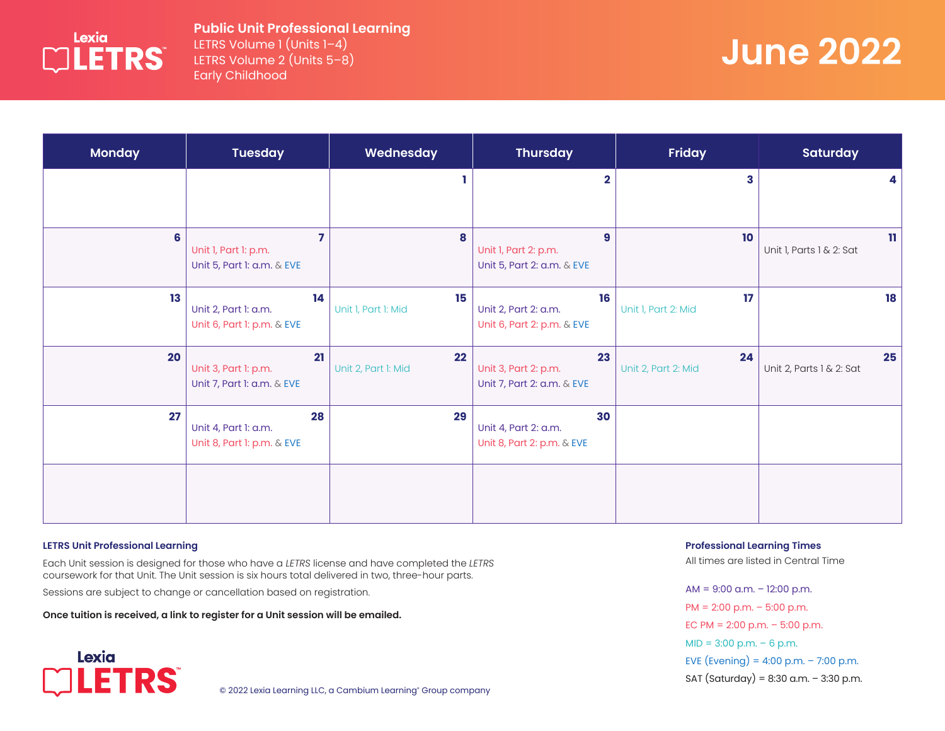

## **Public Unit Professional Learning** LETRS Volume 1 (Units 1–4)

LETRS Volume 2 (Units 5–8) Early Childhood

# **June 2022**

| <b>Monday</b> | <b>Tuesday</b>                                           | Wednesday                 | <b>Thursday</b>                                          | <b>Friday</b>             | <b>Saturday</b>                          |
|---------------|----------------------------------------------------------|---------------------------|----------------------------------------------------------|---------------------------|------------------------------------------|
|               |                                                          |                           | $\mathbf{2}$                                             | 3                         | 4                                        |
| 6             | 7<br>Unit I, Part I: p.m.<br>Unit 5, Part 1: a.m. & EVE  | 8                         | 9<br>Unit I, Part 2: p.m.<br>Unit 5, Part 2: a.m. & EVE  | 10                        | $\mathbf{H}$<br>Unit 1, Parts 1 & 2: Sat |
| 13            | 14<br>Unit 2, Part 1: a.m.<br>Unit 6, Part 1: p.m. & EVE | 15<br>Unit I, Part I: Mid | 16<br>Unit 2, Part 2: a.m.<br>Unit 6, Part 2: p.m. & EVE | 17<br>Unit I, Part 2: Mid | 18                                       |
| 20            | 21<br>Unit 3, Part 1: p.m.<br>Unit 7, Part 1: a.m. & EVE | 22<br>Unit 2, Part I: Mid | 23<br>Unit 3, Part 2: p.m.<br>Unit 7, Part 2: a.m. & EVE | 24<br>Unit 2, Part 2: Mid | 25<br>Unit 2, Parts 1 & 2: Sat           |
| 27            | 28<br>Unit 4, Part 1: a.m.<br>Unit 8, Part 1: p.m. & EVE | 29                        | 30<br>Unit 4, Part 2: a.m.<br>Unit 8, Part 2: p.m. & EVE |                           |                                          |
|               |                                                          |                           |                                                          |                           |                                          |

#### **LETRS Unit Professional Learning**

Each Unit session is designed for those who have a *LETRS* license and have completed the *LETRS* coursework for that Unit. The Unit session is six hours total delivered in two, three-hour parts.

Sessions are subject to change or cancellation based on registration.

**Once tuition is received, a link to register for a Unit session will be emailed.**



© 2022 Lexia Learning LLC, a Cambium Learning° Group company

**Professional Learning Times** 

All times are listed in Central Time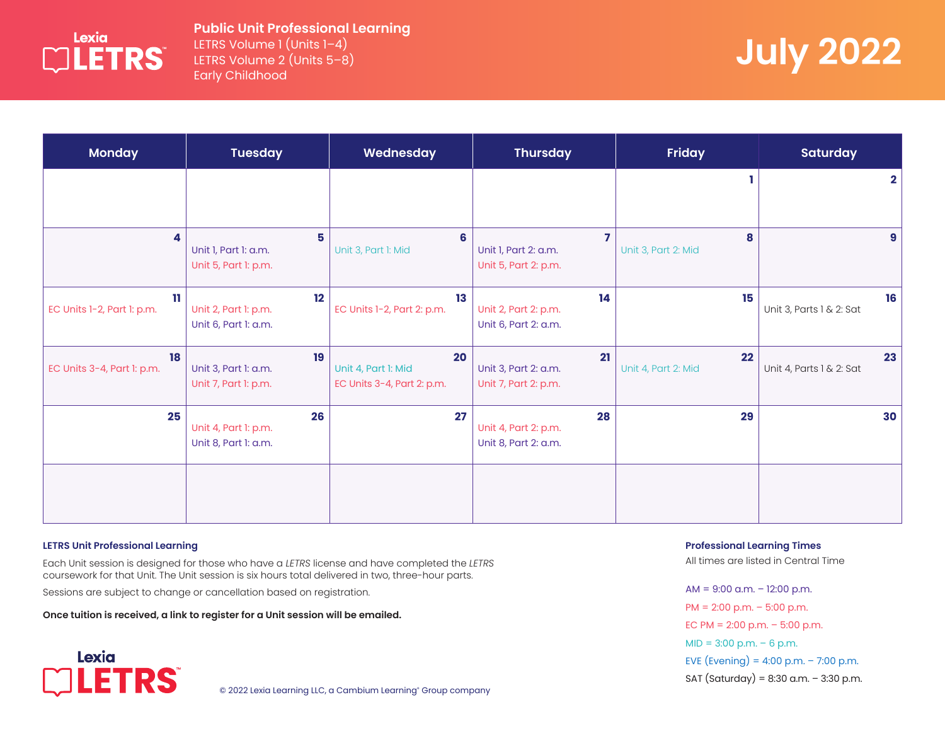

## **Public Unit Professional Learning** LETRS Volume 1 (Units 1-4)

LETRS Volume 2 (Units 5–8) Early Childhood

# **July 2022**

| <b>Monday</b>                     | <b>Tuesday</b>                                     | Wednesday                                               | <b>Thursday</b>                                    | <b>Friday</b>             | <b>Saturday</b>                |
|-----------------------------------|----------------------------------------------------|---------------------------------------------------------|----------------------------------------------------|---------------------------|--------------------------------|
|                                   |                                                    |                                                         |                                                    |                           | $\mathbf{2}$                   |
| 4                                 | 5<br>Unit I, Part I: a.m.<br>Unit 5, Part 1: p.m.  | 6<br>Unit 3, Part 1: Mid                                | 7<br>Unit I, Part 2: a.m.<br>Unit 5, Part 2: p.m.  | 8<br>Unit 3, Part 2: Mid  | 9                              |
| 11.<br>EC Units 1-2, Part 1: p.m. | 12<br>Unit 2, Part 1: p.m.<br>Unit 6, Part 1: a.m. | 13<br>EC Units 1-2, Part 2: p.m.                        | 14<br>Unit 2, Part 2: p.m.<br>Unit 6, Part 2: a.m. | 15                        | 16<br>Unit 3, Parts 1 & 2: Sat |
| 18<br>EC Units 3-4, Part 1: p.m.  | 19<br>Unit 3, Part 1: a.m.<br>Unit 7, Part 1: p.m. | 20<br>Unit 4, Part I: Mid<br>EC Units 3-4, Part 2: p.m. | 21<br>Unit 3, Part 2: a.m.<br>Unit 7, Part 2: p.m. | 22<br>Unit 4, Part 2: Mid | 23<br>Unit 4, Parts 1 & 2: Sat |
| 25                                | 26<br>Unit 4, Part 1: p.m.<br>Unit 8, Part 1: a.m. | 27                                                      | 28<br>Unit 4, Part 2: p.m.<br>Unit 8, Part 2: a.m. | 29                        | 30                             |
|                                   |                                                    |                                                         |                                                    |                           |                                |

#### **LETRS Unit Professional Learning**

Each Unit session is designed for those who have a *LETRS* license and have completed the *LETRS* coursework for that Unit. The Unit session is six hours total delivered in two, three-hour parts.

Sessions are subject to change or cancellation based on registration.

**Once tuition is received, a link to register for a Unit session will be emailed.**



© 2022 Lexia Learning LLC, a Cambium Learning° Group company

**Professional Learning Times** 

All times are listed in Central Time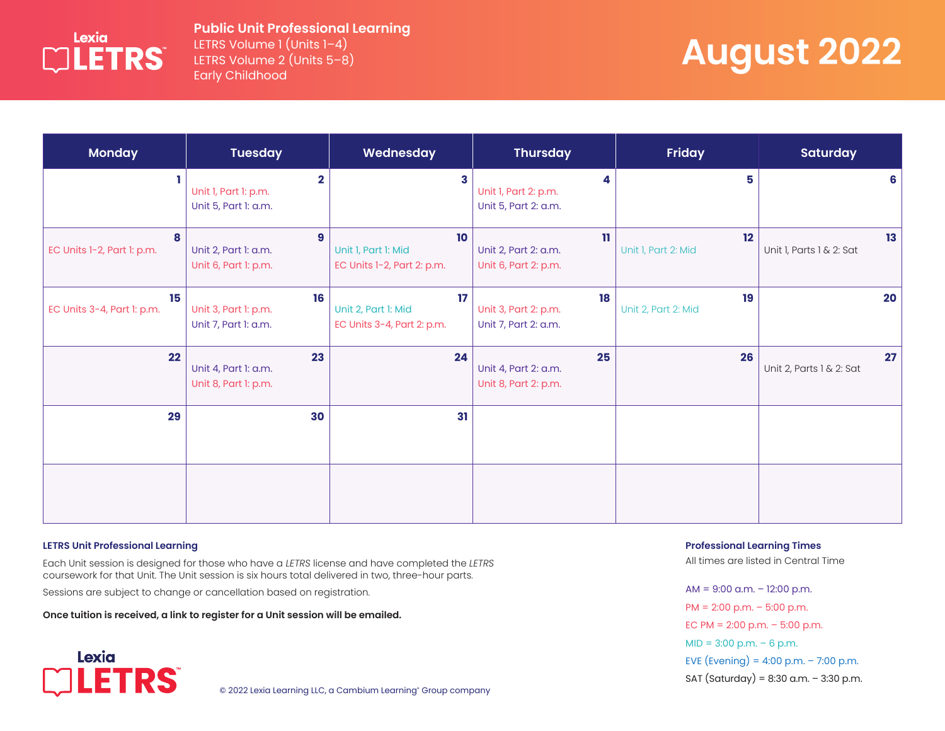

LETRS Volume 1 (Units 1-4) LETRS Volume 2 (Units 5–8) Early Childhood

# **August 2022**

| <b>Monday</b>                    | <b>Tuesday</b>                                                   | Wednesday                                               | <b>Thursday</b>                                              | <b>Friday</b>             | <b>Saturday</b>                |
|----------------------------------|------------------------------------------------------------------|---------------------------------------------------------|--------------------------------------------------------------|---------------------------|--------------------------------|
|                                  | $\mathbf{2}$<br>Unit I, Part I: p.m.<br>Unit 5, Part 1: a.m.     | 3                                                       | 4<br>Unit I, Part 2: p.m.<br>Unit 5, Part 2: a.m.            | 5                         | 6                              |
| 8<br>EC Units 1-2, Part 1: p.m.  | $\boldsymbol{9}$<br>Unit 2, Part 1: a.m.<br>Unit 6, Part 1: p.m. | 10<br>Unit I, Part I: Mid<br>EC Units 1-2, Part 2: p.m. | $\mathbf{u}$<br>Unit 2, Part 2: a.m.<br>Unit 6, Part 2: p.m. | 12<br>Unit I, Part 2: Mid | 13<br>Unit I, Parts I & 2: Sat |
| 15<br>EC Units 3-4, Part 1: p.m. | 16<br>Unit 3, Part 1: p.m.<br>Unit 7, Part 1: a.m.               | 17<br>Unit 2, Part 1: Mid<br>EC Units 3-4, Part 2: p.m. | 18<br>Unit 3, Part 2: p.m.<br>Unit 7, Part 2: a.m.           | 19<br>Unit 2, Part 2: Mid | 20                             |
| 22                               | 23<br>Unit 4, Part 1: a.m.<br>Unit 8, Part 1: p.m.               | 24                                                      | 25<br>Unit 4, Part 2: a.m.<br>Unit 8, Part 2: p.m.           | 26                        | 27<br>Unit 2, Parts 1 & 2: Sat |
| 29                               | 30                                                               | 31                                                      |                                                              |                           |                                |
|                                  |                                                                  |                                                         |                                                              |                           |                                |

#### **LETRS Unit Professional Learning**

Each Unit session is designed for those who have a *LETRS* license and have completed the *LETRS* coursework for that Unit. The Unit session is six hours total delivered in two, three-hour parts.

Sessions are subject to change or cancellation based on registration.

**Once tuition is received, a link to register for a Unit session will be emailed.**



© 2022 Lexia Learning LLC, a Cambium Learning° Group company

**Professional Learning Times** 

All times are listed in Central Time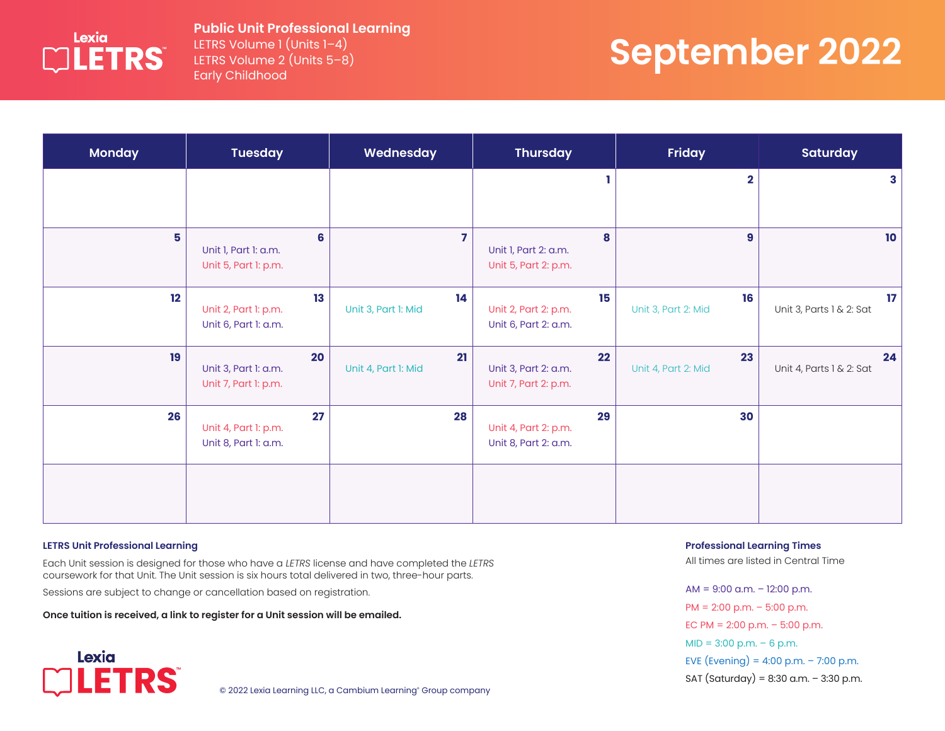

LETRS Volume 1 (Units 1–4) LETRS Volume 2 (Units 5–8) Early Childhood

# **September 2022**

| <b>Monday</b> | <b>Tuesday</b>                                     | Wednesday                 | <b>Thursday</b>                                    | Friday                    | <b>Saturday</b>                |
|---------------|----------------------------------------------------|---------------------------|----------------------------------------------------|---------------------------|--------------------------------|
|               |                                                    |                           |                                                    | $\overline{\mathbf{2}}$   | 3                              |
| 5             | 6<br>Unit I, Part I: a.m.<br>Unit 5, Part 1: p.m.  | $\overline{7}$            | 8<br>Unit I, Part 2: a.m.<br>Unit 5, Part 2: p.m.  | $\boldsymbol{9}$          | 10 <sub>10</sub>               |
| 12            | 13<br>Unit 2, Part 1: p.m.<br>Unit 6, Part 1: a.m. | 14<br>Unit 3, Part 1: Mid | 15<br>Unit 2, Part 2: p.m.<br>Unit 6, Part 2: a.m. | 16<br>Unit 3, Part 2: Mid | 17<br>Unit 3, Parts 1 & 2: Sat |
| 19            | 20<br>Unit 3, Part 1: a.m.<br>Unit 7, Part 1: p.m. | 21<br>Unit 4, Part I: Mid | 22<br>Unit 3, Part 2: a.m.<br>Unit 7, Part 2: p.m. | 23<br>Unit 4, Part 2: Mid | 24<br>Unit 4, Parts 1 & 2: Sat |
| 26            | 27<br>Unit 4, Part 1: p.m.<br>Unit 8, Part 1: a.m. | 28                        | 29<br>Unit 4, Part 2: p.m.<br>Unit 8, Part 2: a.m. | 30                        |                                |
|               |                                                    |                           |                                                    |                           |                                |

#### **LETRS Unit Professional Learning**

Each Unit session is designed for those who have a *LETRS* license and have completed the *LETRS* coursework for that Unit. The Unit session is six hours total delivered in two, three-hour parts.

Sessions are subject to change or cancellation based on registration.

**Once tuition is received, a link to register for a Unit session will be emailed.**



© 2022 Lexia Learning LLC, a Cambium Learning° Group company

**Professional Learning Times** 

All times are listed in Central Time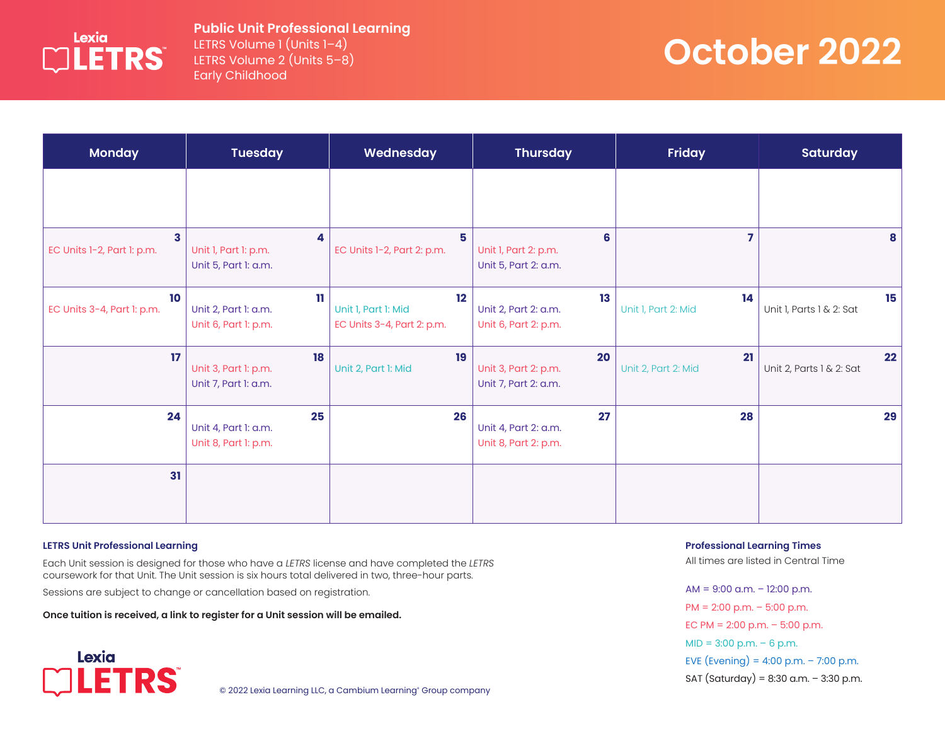

LETRS Volume 1 (Units 1–4) LETRS Volume 2 (Units 5–8) Early Childhood

# **October 2022**

| <b>Monday</b>                    | <b>Tuesday</b>                                               | Wednesday                                               | <b>Thursday</b>                                    | <b>Friday</b>             | <b>Saturday</b>                |
|----------------------------------|--------------------------------------------------------------|---------------------------------------------------------|----------------------------------------------------|---------------------------|--------------------------------|
|                                  |                                                              |                                                         |                                                    |                           |                                |
| 3<br>EC Units 1-2, Part 1: p.m.  | 4<br>Unit I, Part I: p.m.<br>Unit 5, Part 1: a.m.            | 5<br>EC Units 1-2, Part 2: p.m.                         | 6<br>Unit I, Part 2: p.m.<br>Unit 5, Part 2: a.m.  | 7                         | 8                              |
| 10<br>EC Units 3-4, Part 1: p.m. | $\mathbf{u}$<br>Unit 2, Part 1: a.m.<br>Unit 6, Part 1: p.m. | 12<br>Unit I, Part I: Mid<br>EC Units 3-4, Part 2: p.m. | 13<br>Unit 2, Part 2: a.m.<br>Unit 6, Part 2: p.m. | 14<br>Unit I, Part 2: Mid | 15<br>Unit I, Parts I & 2: Sat |
| 17                               | 18<br>Unit 3, Part 1: p.m.<br>Unit 7, Part 1: a.m.           | 19<br>Unit 2, Part 1: Mid                               | 20<br>Unit 3, Part 2: p.m.<br>Unit 7, Part 2: a.m. | 21<br>Unit 2, Part 2: Mid | 22<br>Unit 2, Parts 1 & 2: Sat |
| 24                               | 25<br>Unit 4, Part 1: a.m.<br>Unit 8, Part 1: p.m.           | 26                                                      | 27<br>Unit 4, Part 2: a.m.<br>Unit 8, Part 2: p.m. | 28                        | 29                             |
| 31                               |                                                              |                                                         |                                                    |                           |                                |

#### **LETRS Unit Professional Learning**

Each Unit session is designed for those who have a *LETRS* license and have completed the *LETRS* coursework for that Unit. The Unit session is six hours total delivered in two, three-hour parts.

Sessions are subject to change or cancellation based on registration.

**Once tuition is received, a link to register for a Unit session will be emailed.**



© 2022 Lexia Learning LLC, a Cambium Learning° Group company

**Professional Learning Times** 

All times are listed in Central Time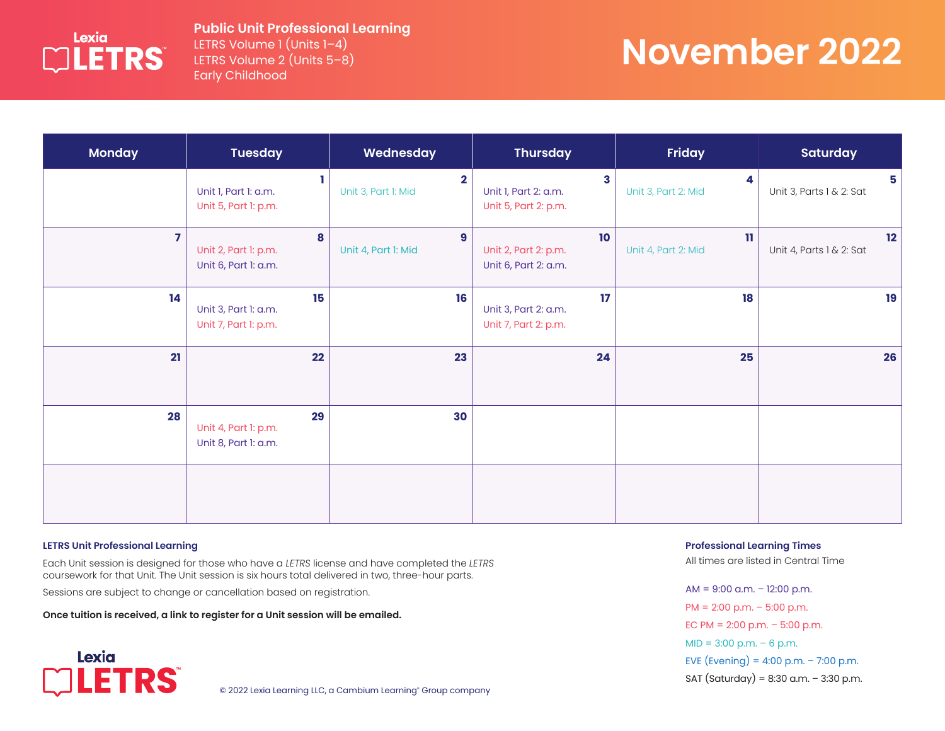

LETRS Volume 1 (Units 1-4) LETRS Volume 2 (Units 5–8) Early Childhood

# **November 2022**

| <b>Monday</b>           | <b>Tuesday</b>                                     | Wednesday                                      | <b>Thursday</b>                                    | <b>Friday</b>                       | <b>Saturday</b>                |
|-------------------------|----------------------------------------------------|------------------------------------------------|----------------------------------------------------|-------------------------------------|--------------------------------|
|                         | Unit I, Part I: a.m.<br>Unit 5, Part 1: p.m.       | $\overline{\mathbf{2}}$<br>Unit 3, Part 1: Mid | 3<br>Unit I, Part 2: a.m.<br>Unit 5, Part 2: p.m.  | 4<br>Unit 3, Part 2: Mid            | 5<br>Unit 3, Parts 1 & 2: Sat  |
| $\overline{\mathbf{z}}$ | 8<br>Unit 2, Part 1: p.m.<br>Unit 6, Part 1: a.m.  | $\overline{9}$<br>Unit 4, Part I: Mid          | 10<br>Unit 2, Part 2: p.m.<br>Unit 6, Part 2: a.m. | $\mathbf{u}$<br>Unit 4, Part 2: Mid | 12<br>Unit 4, Parts 1 & 2: Sat |
| 14                      | 15<br>Unit 3, Part 1: a.m.<br>Unit 7, Part 1: p.m. | 16                                             | 17<br>Unit 3, Part 2: a.m.<br>Unit 7, Part 2: p.m. | 18                                  | 19                             |
| 21                      | 22                                                 | 23                                             | 24                                                 | 25                                  | 26                             |
| 28                      | 29<br>Unit 4, Part 1: p.m.<br>Unit 8, Part 1: a.m. | 30                                             |                                                    |                                     |                                |
|                         |                                                    |                                                |                                                    |                                     |                                |

#### **LETRS Unit Professional Learning**

Each Unit session is designed for those who have a *LETRS* license and have completed the *LETRS* coursework for that Unit. The Unit session is six hours total delivered in two, three-hour parts.

Sessions are subject to change or cancellation based on registration.

**Once tuition is received, a link to register for a Unit session will be emailed.**



© 2022 Lexia Learning LLC, a Cambium Learning° Group company

**Professional Learning Times** 

All times are listed in Central Time